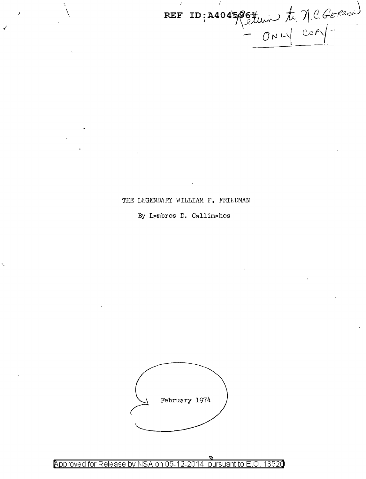REF ID: A4045067 university of MCGERSON

THE LEGENDARY WILLIAM F. FRH:DMAN

 $\lambda$ 

' \

•'

By Lembros D. Callimahos



Approved for Release by NSA on 05-12-2014 pursuant to E.O. 13520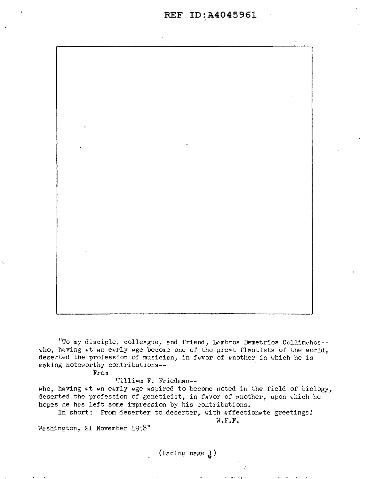

"To my disciple, colleague, and friend, Lembros Demetrios Callimahos -who, having at an early age become one of the great flautists of the world, deserted the profession of musician, in favor of another in which he is making noteworthy contributions--

From

Villiem F. Friedman--

who, having at an early age aspired to become noted in the field of biology, deserted the profession of geneticist, in favor of another, upon which he hopes he hes left some impression by his contributions.

In short: From deserter to deserter, with affectionate greetings! W.F.F.

Washington, 21 November 1958"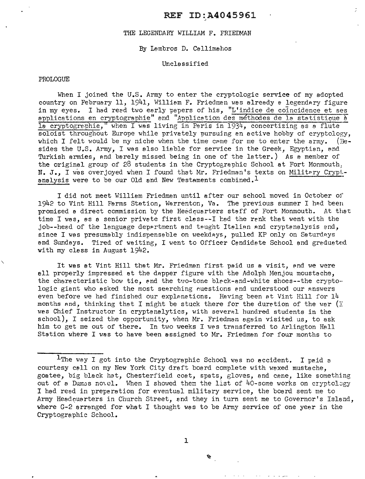## REF ID:A4045961

### THE LEGENDARY WILLIAM F. FRIEDMAN

## By Lambros D. Callimahos

#### Unclassified

#### PROLOGUE

When I joined the U.S. Army to enter the cryptologic service of my adopted country on February 11, 1941, William F. Friedman was already a legendary figure in my eyes. I had read two early papers of his, "L'indice de coincidence et ses applications en cryptographie" end "Application des méthodes de la statistique à la cryptogrephie," when I was living in Paris in 1934, concertizing as a flute soloist throughout Europe while privately pursuing an active hobby of cryptology, which I felt would be my niche when the time came for me to enter the army. (Bewhich I felt would be my niche when the time came for me to enter the army. sides the U.S. Army, I was also liable for service in the Greek, Egyptian, and Turkish armies, and barely missed being in one of the latter.) As a member of the original group of 28 students in the Cryptographic School at Fort Monmouth, N. J., I was overjoyed when I found that Mr. Friedman's texts on Military Cryptanalysis were to be our Old and New Testaments combined.<sup>1</sup>

I did not meet William Friedman until after our school moved in October of 1942 to Vint Hill Farms Station, Warrenton, Va. The previous summer I had been promised a direct commission by the Heedcuarters staff of Fort Monmouth. At that time I was, as a senior private first class--I had the rank that went with the job--head of the language department and taught Italian and cryptanalysis and, since I was presumably indispensable on weekdays, pulled KP only on Saturdays and Sundays. Tired of waiting, I went to Officer Candidate School and graduated with my class in August 1942.

It was at Vint Hill that Mr. Friedman first paid us a visit, and we were all properly impressed at the dapper figure with the Adolph Menjou moustache, the characteristic bow tie, and the two-tone black-and-white shoes--the cryptologic giant who asked the most searching questions and understood our answers even before we had finished our explanations. Having been at Vint Hill for  $14$ months and, thinking that I might be stuck there for the duration of the war (I wes Chief Instructor in cryptanalytics, with several hundred students in the school), I seized the opportunity, when Mr. Friedman again visited us. to ask him to get me out of there. In two weeks I was transferred to Arlington Hall Station where I was to have been assigned to Mr. Friedman for four months to

1

壑

<sup>&</sup>lt;sup>1</sup>The way I got into the Cryptographic School was no accident. I paid a courtesy call on my New York City draft board complete with waxed mustache, goatee, big black hat, Chesterfield coat, spats, gloves, and cane, like something out of a Dumss novel. When I showed them the list of 40-some works on cryptolegy I had read in preparation for eventual military service, the board sent me to Army Headouarters in Church Street, and they in turn sent me to Governor's Island, where G-2 arranged for what I thought was to be Army service of one year in the Cryptographic School.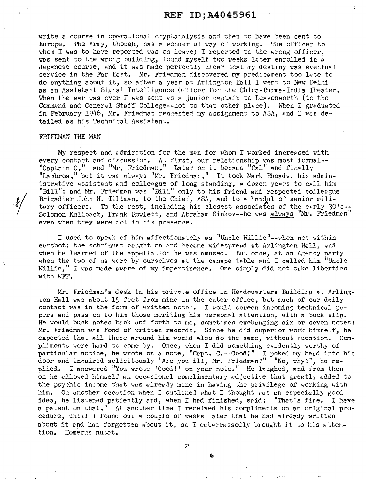# REF ID; A4045961

write a course in operational cryptanalysis and then to have been sent to Europe. The Army, though, has a wonderful way of working. The officer to whom I was to have reported was on leave; I reported to the wrong officer. was sent to the wrong building, found myself two weeks later enrolled in a Japanese course, and it was made perfectly clear that my destiny was eventual service in the Far East. Mr. Friedman discovered my predicement too late to do anything about it, so after a year at Arlington Hall I went to New Delhi as an Assistant Signal Intelligence Officer for the China-Burma-India Theater. When the war was over I was sent as a junior captain to Leavenworth (to the Command and General Staff College--not to that other place). When I greduated in February 1946, Mr. Friedman reouested my assignment to *ASA,* Pnd I was detailed as his Technical Assistant.

#### FRIEDMAN THE MAN

My respect and admiration for the man for whom I worked increased with every contact and discussion. At first, our relationship was most formal--"Captein C." and "Mr. Friedman." Later on it became "Cal" and finally "Lembros," but it was always "Mr. Friedman." It took Mark Rhoads, his administrative assistant and colleague of long standing, a dozen years to call him "Bill"; and Mr. Friedman was "Bill" only to his friend and respected colleague Brigadier John H. Tiltman, to the Chief, ASA, and to a handul of senior military officers. To the rest, including his closest associates of the early  $30'$ s--Solomon Kullback, Frank Rowlett, and Abraham Sinkov--he was always "Mr. Friedman" even when they were not in his presence.

I used to speak of him affectionately as "Uncle Willie"--when not within earshot; the sobriquet caught on and became widespread at Arlington Hall, and when he learned of the appellation he was amused. But once, at an Agency party when the two of us were by ourselves at the canape table and I called him "Uncle Willie." I was made aware of my impertinence. One simply did not take liberties with WFF.

Mr. Friedman's desk in his private office in Headquarters Building at Arlington Hall was about 15 feet from mine in the outer office, but much of our daily contact was in the form of written notes. I would screen incoming technical  $p_3$ pers and pass on to bim those meriting his personal attention, with *e* buck slip. He would buck notes back and forth to me, sometimes exchanging six or seven notes: Mr. Friedman was fond of written records. Since he did superior work himself, he expected that all those around him would also do the same, without cuestion. Compliments were hard tc come by. Once, when I did something evidently worthy of particular notice, he wrote on a note, "Capt. C.--Good!" I poked my heed into his door and inouired solicitously "Are you ill, Mr. Friedman?" "No, why?", he replied. I answered "You wrote 'Good!' on your note." He laughed, and from then on he allowed himself an occesional complimentary adjective that greetly added to the psychic income that was already mine in having the privilege of working with him. On another occasion when I outlined what I thought was an especially good idea, he listened patiently and, when I had finished, said: "That's fine. I have a patent on that." At enother time I received his compliments on an original procedure, until I found out a couple of weeks later that he had already written about it and had forgotten ebout it, so I embarrassedly brought it to his attention. Homerus nutat.

2

壑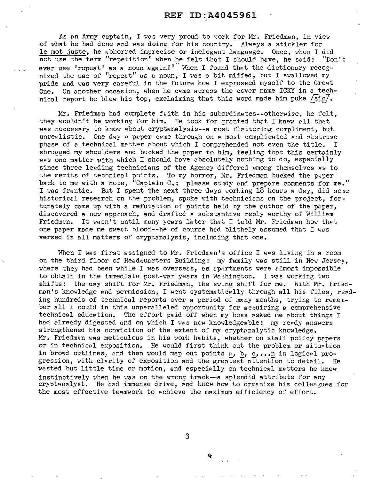As an Army captain, I was very proud to work for Mr. Friedman, in view of what he had done end was doing for his country. Always a stickler for le mot juste, he abhorred imprecise or inelegant language. Once, when I did not use the term "repetition" when he felt that I should have, he soid: "Don't ever use 'repeat' as a noun again!" When I found that the dictionary recognized the use of "repeat" as a noun, I was a bit miffed, but I swallowed my pride and was very careful in the future how I expressed myself to the Great One. On another occasion, when he came across the cover name ICKY in a technical report he blew his top, exclaiming that this word made him puke  $/\sqrt{\text{sic}/\text{s}}$ .

Mr. Friedman had complete feith in his subordinates--otherwise, he felt, they wouldn't be working for him. He took for granted that I knew pll that was necessary to know about cryptanalysis--a most flattering compliment, but unrealistic. One day a paper came through on a most complicated and abstruse phase of a technical matter sbout which I comprehended not even the title. I shrugged my shoulders and bucked the paper to him, feeling that this certainly wes one matter with which I should have absolutely nothing to do, especially since three leading technicians of the Agency differed among themselves as to the merits of technical points. To my horror, Mr. Friedman bucked the peper back to me with a note, "Captain C.: please study and prepare comments for me." I was frantic. But I spent the next three days working 18 hours a day, did some historical research on the problem, spoke with technicians on the project, fortunately came up with a refutation of points held by the author of the paper, discovered a new approach, and drafted a substantive reply worthy of William Friedman. It wasn't until many years later that I told Mr. Friedman how that one paper made me sweat blood--he of course had blithely assumed that I was versed in all matters of cryptanalysis, including that one.

When I wes first assigned to Mr. Friedman's office I was living in a room on the third floor of Headouarters Building: my family was still in New Jerser, where they had been while I was overseas, as apartments were almost impossible to obtain in the immediate post-war years in Washington. I was working two shifts: the day shift for Mr. Friedman, the swing shift for me. With Mr. Friedman's knowledge and permission, I went systematically through all his files, reading hundreds of technical reports over a period of many months, trying to remember all I could in this unparalleled opportunity for acouiring a comprehensive technical educetion. The effort paid off when my boss asked me about things I had already digested and on which I was now knowledgeable: my ready answers strengthened his conviction of the extent of my cryptenalytic knowledge. Mr. Friedman was meticulous in his work habits, whether on staff policy papers or in technical exposition. He would first think out the problem or situation in broed outlines, and then would mep out points *P*, **b**, **c**, ... n in logical progression, with clarity of exposition and the greatest attention to detail. He wasted but little time or motion, and especially on technical matters he knew instinctively when he was on the wrong track-a splendid attribute for any cryptanalyst. He had immense drive, and knew how to organize his colleagues for the most effective teamwork to achieve the maximum efficiency of effort.

3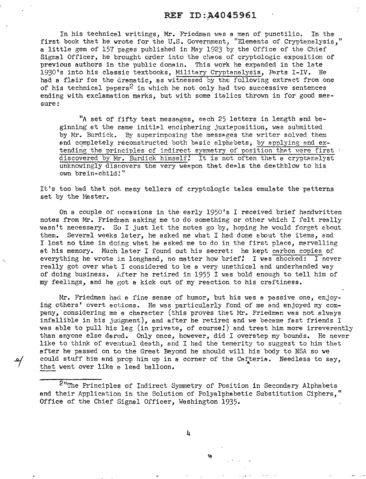# REF ID:<sub>A4045961</sub>

In his technicsl writings, Mr. Friedman was *e* man of punctilio. In the first book that he wrote for the U.S. Government, "Elements of Cryptanalysis," a little gem of 157 pages published in May 1923 by the Office of the Chief Signal Officer, he brought order into the chaos of cryptologic exposition of previous authors in the public domain. This work he expanded in the late 1930's into his classic textbooks, Military Cryptanalysis, Parts I-IV. He had a flair for the dramatic, as witnessed by the following extract from one of his technical papers<sup>2</sup> in which he not only had two successive sentences ending with exclamation marks, but with some italics throvm in for good meesure:

*"A* set of fifty test messages, each 25 letters in length and beginning at the same initial enciphering juxteposition, was submitted by Mr. Burdick. By superimposing the messages the writer solved them end completely reconstructed both basic alphabets, by applying and extending the principles of indirect symmetry of position that were first . discovered by Mr. Burdick himself! It is not often that a cryptanalyst unknowingly discovers the very weepon that deels the deathblow to his own brsin-child!"

It's too bad that not meny tellers of cryptologic tales emulate the patterns set by the Master.

On a couple of occasions in the early 1950's I received brief handwritten notes from Mr. Friedman asking me to do something or other which I felt really wasn't necessary. So I just let the notes go by, hoping he would forget about So I just let the notes go by, hoping he would forget about them. Several weeks later, he asked me what I had done about the items, and I lost no time in doing what he asked me to do in the first place, marvelling at his memory. Much later I found out his secret: he kept carbon copies of everything he wrote in longhand, no matter how brief! I was shocked: I never really got over what I considered to be a very unethical and underhanded way of doing business. lifter he retired in 1955 I was bold enough to tell him of my feelings, and he got a kick out of my reaction to his craftiness.

Mr. Friedman had a fine sense of humor, but his wes a passive one, enjoying others' overt actions. He was particularly fond of me and enjoyed my company, considering me a character (this proves that Mr. Friedman was not always infallible in his judgment), and after he retired and we became fast friends I was able to pull his leg (in private, of course!) and treat him more irreverently than anyone else dared. Only once, however, did I overstep my bounds. He never like to think of eventual death, and I had the temerity to suggest to him that after he passed on to the Great Beyond he should will his body to NSA so we could stuff him and prop him up in a corner of the Cafteria. Needless to say, that went over like a lead balloon.

<sup>2</sup>"The Principles of Indirect Symmetry of Position in Secondary Alphabets. and their Application in the Solution of Polyalphabetic Substitution Ciphers," Office of the Chief Signal Officer, Washington 1935.

4

Ŷh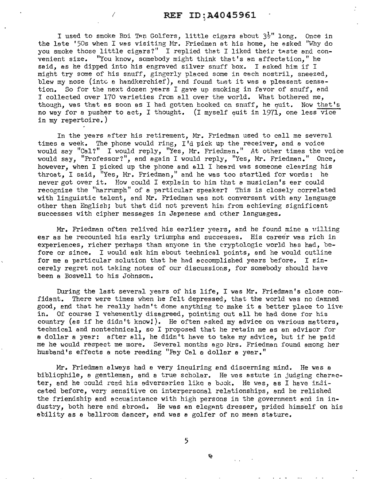I used to smoke Roi Tan Golfers, little cigars about  $3\frac{1}{2}$ " long. Once in the late '50s when I was visiting Mr. Friedman at his home, he asked "Why do you smoke those little cigars?" I replied that I liked their taste and convenient size. "You know, somebody might think that's an affectation," he said, as he dipped into his engraved silver snuff box. I asked him if I might try some of his snuff, gingerly placed some in each nostril, sneezed, blew my nose (into a handkerchief), and found that it was a pleasant sensa-<br>tion. So for the next dozen years I gave up smoking in favor of snuff. and So for the next dozen years I gave up smoking in favor of snuff, and I collected over 170 varieties from all over the world. What bothered me, though, was that as soon as I had gotten hooked on snuff, he quit. Now that's no way for a pusher to act, I thought. (I myself quit in 1971, one less vice in my repertoire.)

In the years after his retirement, Mr. Friedman used to call me several times a week. The phone would ring, I'd pick up the receiver, and a voice would say "Cal?" I would reply, "Yes, Mr. Friedman." At other times the voice would say, "Professor?", and again I would reply, "Yes, Mr. Friedman." Once, however, when I picked up the phone and ell I heard was someone clearing his throat, I said, "Yes, Mr. Friedman," and he was too startled for words: he never got over it. How could I explain to him that *e* musician's ear could recognize the "harrumph" of a particular speaker? This is closely correlated with linguistic talent, and Mr. Friedman was not conversant with any language other than Englisb; but that did not prevent him from achieving significant successes with cipher messages in Japanese and other languages.

Mr. Friedman often relived his earlier years, and he found mine a villing ear as he recounted his early triumphs and successes. His career was rich in experiences, richer perhaps than anyone in the cryptologic world has had, before or since. I would ask him about technical points, and he would outline for me a particular solution that he had accomplished years before. I sincerely regret not taking notes of our discussions, for somebody should have been a Boswell to his Johnson.

During the last several years of his life, I was Mr. Friedman's close confidant. There were times when he felt depressed, that the world was no damned good, and that he really hadn't done anything to make it a better place to live in. Of course I vehemently disagreed, pointing out all he had done for his country (as if he didn't know!). He often asked my advice on various matters, technical end nontechnical, so I proposed that he retain me as an advisor for a dollar a year: after ell, he didn't have to take my advice, but if he paid me he would respect me more. Several months ago Mrs. Friedman found among her husband's effects a note reading "Pay Cal a dollar a year."

Mr. Friedman always had a very inquiring and discerning mind. He was a bibliophile, a gentleman, and a true scholar. He was astute in judging character, and he could read his adversaries like a book. He was, as I have indicated before, very sensitive on interpersonal relationships, and he relished the friendship and acouaintance with high persons in the government and in industry, both here and abroad. He was an elegant dresser, prided himself on his ability as a ballroom dancer, and was a golfer of no mean stature.

5

警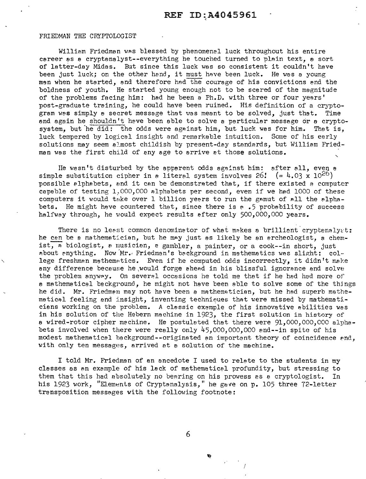#### FRIEDMAN THE CRYPTOLOGIST

William Friedman was blessed by phenomenal luck throughout his entire career as a cryptanalyst--everything he touched turned to plain text, a sort of latter-day Midas. But since this luck was so consistent it couldn't have been just luck; on the other hand, it must have been luck. He was a young men when he started, and therefore had the courage of his convictions and the boldness of youth. He started young enough not to be scared of the magnitude of the problems facing him: had he been a Ph.D. with three or four years' post-graduate training, he could have been ruined. His definition of a cryptogram was simply a secret message that was meant to be solved, just that. Time and again he shouldn't have been able to solve a particular message or a cryptosystem, but he did: the odds were against him, but luck was for him. That is, luck tempered by logical insight end remarkable intuition. Some of his early solutions may seem almost childish by present-day standards, but William Friedman was the first child of any age to arrive et those solutions.

He wasn't disturbed by the apparent odds against him: after all, even a simple substitution cipher in *e* literal system involves  $26$ !  $(= 4.03 \times 10^{26})$ possible alphabets, vnd it can be demonstrated that, if there existed a computer capable of testing  $1,000,000$  alphabets per second, even if we had 1000 of these computers it would take over 1 billion yeers to run the gamut of all the alphabets. He might heve countered thet, since there is e .5 probability of success halfway through, he would expect results efter only 500,000,000 years.

There is no least common denominator of what makes a brillient cryptenalyst: he cen be a mathematician, but he may just as likely be an ercheologist, a chemist. A biologist, a musicien, a gambler, a painter, or a cook--in short, just about anything. Now Mr. Friedman's background in mathematics was slight: college freshman mathematics. Even if he computed odds incorrectly, it didn't make any difference because he ,would forge ahead in his blissful ignorance and solve the problem anyway. On several occasions he told me that if he had had more of a mathematical background, he might not have been able to solve some of the thjngs he did. Mr. Friedmen may not have been a mathematician, but he had superb mathematical feeling and insight, inventing techniques that were missed by mathematicians working on the problem. A classic example of his innovative abilities was in his solution of the Hebern machine in 1923, the first solution in history of a wired-rotor cipher machine. He postulated that there were  $91,000,000,000$  alphabets involved when there were really only  $45,000,000,000$  and--in spite of his modest mathematicel background--originated *en* important theory of coincidence end, with only ten messages, arrived at a solution of the machine.

I told Mr. Friedman of an ancedote I used to relate to the students in my classes as an example of his lack of mathematical profundity, but stressing to them that this had absolutely no bearing on his prowess as a cryptologist. In his 1923 work, "Elements of Cryptanalysis," he gave on p. 105 three 72-letter transposition messages with the following footnote:

6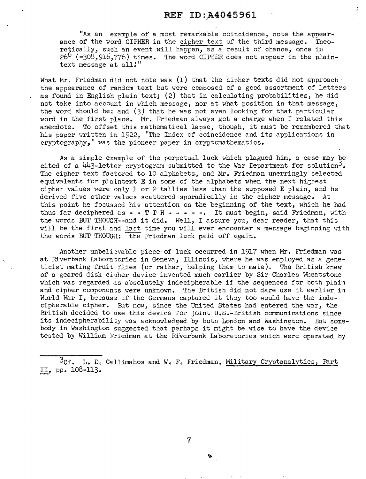"As an example of a most remarkable coincidence, note the appearance of the word CIPHER in the cipher text of the third message. Theo $retically$ , such an event will happen, as a result of chance, once in  $26^{\circ}$  (=308,916,776) times. The word CIPHER does not appear in the plaintext message at all!"

What Mr. Friedman did not note was  $(1)$  that the cipher texts did not approach  $\cdot$ the appearance of random text but were composed of a good assortment of letters as found in English plain text; (2) that in calculating probabilities, he did not take into account in which message, nor at what position in that message, the word should be; and  $(3)$  that he was not even looking for that particular word in the first place. Mr. Friedman always got a charge when I related this anecdote. To offset this mathematical lapse, though, it must be remembered that his paper written in 1922, "The Index of coincidence and its applications in cryptography." was the pioneer paper in cryptomathematics.

As a simple example of the perpetual luck which plagued him, a case may be cited of a  $443$ -letter cryptogram submitted to the War Department for solution<sup>3</sup>. The cipher text factored to 10 alphabets, and Mr. Friedman unerringly selected equivalents for plaintext E in some of the alphabets when the next highest cipher values were only 1 or 2 tallies less than the supposed E plain, and he derived five other values scattered sporadically in the cipher message. At this point he focussed his attention on the beginning of the text, which he had thus far deciphered as  $-$  - T T H - - - - -. It must begin, said Friedman, with the words BUT THOUGH--and it did. Well, I assure you, dear reader, that this will be the first and last time you will ever encounter a message beginning with the words BUT THOUGH: the Friedman luck paid off again.

Another unbelievable piece of luck occurred in 1917 when Mr. Friedman was at Riverbank laboratories in Geneva, Illinois, where he was employed as a geneticist mating fruit flies (or rather, helping them to mate). The British knew of a geared disk cipher device invented much earlier by Sir Charles Wheatstone which was regarded as absolutely indecipherable if the sequences for both plain and cipher components were unknown. The British did not dare use it earlier in World War I, because if the Germans captured it they too would have the indecipherable cipher. But now, since the United States had entered the war, the British decided to use this device for joint U.S.-British communications since its indecipherability was acknowledged by both London and Washington. But somebody in Washington suggested that perhaps it might be wise to have the device tested by William Friedman at the Riverbank laboratories which were operated by

3Cf. L. D. Callimahos and W. F. Friedman, Military Cryptanalytics, Part II, pp. 108-113.

7

 $\mathbf{z}$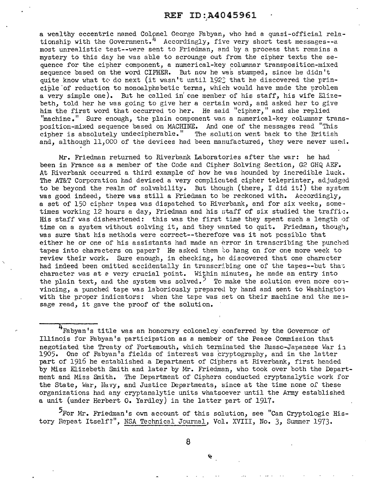a wealthy eccentric named Colonel George Fabyan, who had a quasi-official relationship with the Government.<sup>4</sup> Accordingly, five very short test messages--a most unrealistic test--were sent to Friedman, and by a process that remains a mystery to this day he was able to scrounge out from the cipher texts the sequence for the cipher component, a numerical-key colwnnar transposition-mixed sequence based on the word CIFHER. But now he was stumped, since he didn't quite know what to do next (it wasn't until 1922 that he discovered the principle of reduction to monoalphabetic terms, which would have made the problem a very simple one). But he called in' one member of his staff, his wife Elizebeth, told her he was going to give her a certain word, and asked her to give him the first word that occurred to her. He said "cipher," and she replied "machine." Sure enough, the plain component was a numerical-key columnar transposition-mixed sequence based on MACHINE. And one of the messages read "This cipher is absolutely undecipherable." The solution went back to the British and, although 11,000 of the devices had been manufactured, they were never used.

Mr. Friedman returned to Riverbank Laboratories after the war: he had been in France as a member of the Code and Cipher Solving Section, G2 GHQ AEF. At Riverbank occurred a third example of how he was hounded by incredible luck. The AT&T Corporation had devised a very complicated cipher teleprinter, adjudged to be beyond the realm of solvability. But though (there, I did it!) the system was good indeed, there was still a Friedman to be reckoned with. Accordingly, a set of 150 cipher tapes was dispatched to Riverbank, and for six weeks, some·· times working 12 hours a day, Friedman and his staff of six studied the traffic. His staff was disheartened: this was the first time they spent such a length of time on a system without solving it, and they wanted to quit. Friedman, though, was sure that his methods were correct--therefore was it not possible that either he or one of his assistants had made an error in transcribing the punched tapes into characters on paper? He asked them to hang on for one more week to review their work. Sure enough, in checking, he discovered that one character had indeed been omitted accidentally in transcribing one of the tapes--but that character was at *e* very crucial point. Within minutes, he made an entry into the plain text, and the system was solved.<sup>5</sup> To make the solution even more couvincing, a punched tape was laboriously prepared by hand and sent to Washington with the proper indicators: when the tape was set on their machine and the message read, it gave the proof of the solution.

 $\frac{1}{4}$  Fabyan's title was an honorary colonelcy conferred by the Governor of Illinois for Fabyan's participation as a member of the Peace Commission that negotiated the Treaty of Portsmouth, which terminated the Russo-Japanese War in 1905. One of Fabyan's fields of interest was cryptography, and in the latter part of 1916 he established a Department of Ciphers at Riverbank, first headed by Miss Elizebeth Smith and later by Mr. Friedman, who took over both the Department and Miss Smith. The Department of Ciphers conducted cryptanalytic work for the State, War, Navy, and Justice Departments, since at the time none of these organizations had any cryptanalytic units whatsoever until the Army established a unit (under Herbert O. Yardley) in the latter part of 1917.

For Mr. Friedman's own account of this solution, see "Can Cryptologic History Repeat Itself?", NSA Technical Journal, Vol. XVIII, No. 3, Summer 1973.

8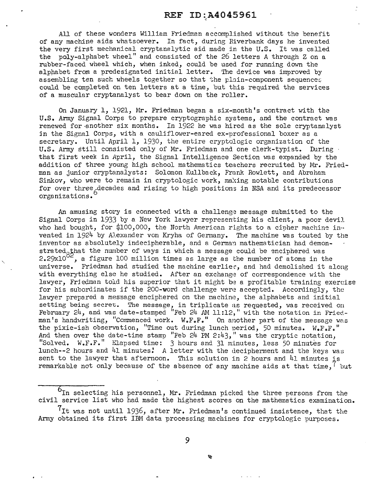All of these wonders William Friedman accomplished without the benefit of any machine aids whatsoever. In fact, during Riverbank days he invented the very first mechanical cryptanalytic aid made in the U.S. It was called the poly-alphabet wheel" and consisted of the *26* letters A through Z on a rubber-faced wheel which, when inked, could be used for running down the alphabet from a predesignated initial letter. The device was improved by assembling ten such wheels together so that the plain-component sequences could be completed on ten letters at a time, but this required the services of a muscular cryptanalyst to bear down on the roller.

On January 1, 1921, Mr. Friedman began a six-month's contract with the U.S. Army Signal Corps to prepare cryptographic systems, and the contract was renewed for another six months. In 1922 he was hired as the sole cryptanalyst jn the Signal Corps, with a cauliflower-eared ex-professional boxer as a secretary. Until April 1, 1930, the entire cryptologic organization of the U.S. Army still consisted only of Mr. Friedman and one clerk-typist. During that first week in April, the Signal Intelligence Section was expanded by the addition of three young high school mathematics teachers recruited by Mr. Friedman as junior cryptanalysts: Solomon Kullback, Frank Rowlett, and Abraham Sinkov, who were to remain in cryptologic work, making notable contributions for over three decades and rising to high positions in NSA and its predecessor organizations. orgonizations.

An amusing story is connected with a challenge message submitted to the Signal Corps in 1933 by a New York lawyer representing his client, a poor devi1 who had bought, for \$100,000, the North American rights to a cipher machine invented in 1924 by A1exander von Kryha of Germany. The machine was touted by the inventor as absolutely indecipherable, and a German mathematician had demonstrated that the number of ways in which a message could be enciphered was 2.29x10 $^{02}$ , a figure 100 million times as large as the number of atoms in the universe. Friedman had studied the machine earlier, and had demolished it along with everything else he studied. After an exchange of correspondence with the lawyer, Friedman told his superior that it might be a profitable training exercise for his subordinates if the 200-word challenge were accepted. Accordingly, the lawyer prepared a message enciphered on the machine, the alphabets and initial setting being secret. The message, in triplicate as requested, was received on February 24, and was date-stamped "Feb 24 AM 11:12," with the notation in Friedman's handwriting, "Commenced work. W.F.F." On another part of the message was the pixie-ish observation, "Time out during lunch period, 50 minutes.  $W_{\bullet}F_{\bullet}F_{\bullet}$ " And then over the date-time stamp "Feb  $24$  PM  $2:43$ ," was the cryptic notation, "Solved. W.F.F." Elapsed time: 3 hours and 31 minutes, less 50 minutes for lunch--2 hours and 41 minutes! A letter with the decipherment and the keys was sent to the lawyer that afternoon. This solution in *2* hours and 41 minutes is remarkable not only because of the absence of any machine aids at that time,<sup>1</sup> but

 $6<sub>In</sub>$  selecting his personnel, Mr. Friedman picked the three persons from the civil service list who had made the highest scores on the mathematics examination.

 $7$ It was not until 1936, after Mr. Friedman's continued insistence, that the Army obtained its first IBM data processing machines for cryptologic purposes.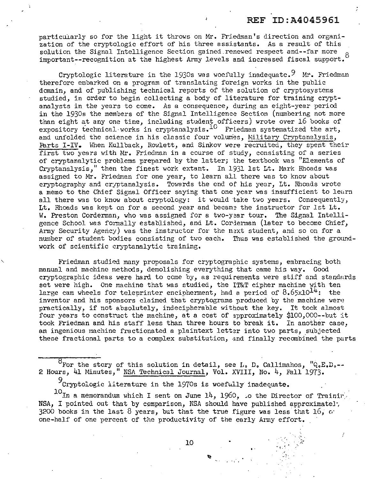i

particularly so for the light it throws on Mr. Friedman's direction and organization of the cryptologic effort of his three assistants. As a result of this solution the Signal Intelligence Section gained renewed respect and--far more important--recognition at the highest Army levels and increased fiscal support. 8

Cryptologic literature in the 1930s was woefully inadequate.  $9\text{ Mr. Friedman}$ therefore embarked on a program of translating foreign works in the public domain, and of publishing technical reports of the solution of cryptosystems studied, in order to begin collecting a body of literature for training cryptanalysts in the years to come. As a consequence, during an eight-year period in the 1930s the members of the Signal Intelligence Section (numbering not more than eight at any one tine, including student officers) wrote over 16 books of expository technical works in cryptanalysis.<sup>10</sup> Friedman systematized the art, and unfolded the science in his classic four volumes, Military Cryptanalysis, Parts I-IV. When Kullback, Rowlett, and Sinkov were recruited, they spent their first two years with Mr. Friedman in a course of study, consisting of a series of cryptanalytic problems prepared by the latter; the textbook was "Elements of Cryptanalysis," then the finest work extant. In 1931 1st Lt. Mark Rhoads was assigned to Mr. Friedman for one year, to learn all there was to know about cryptography and cryptanalysis. Towards the end of his year, Lt. Rhoads wrote a memo to the Chief Signal Officer saying that one year was insufficient to leurn all there was to know about cryptology: it would take two years. Consequently, Lt. Rhoads was kept on for a second year and became the instructor for 1st Lt. W. Preston Corderman, who was assigned for a two-year tour. The Signal Intelligence School was formally established, and Lt. Cordennan (later to become Chief, Army Security Agency) was the instructor for the next student, and so on for a number of student bodies consisting of two each. Thus was established the groundnumber of student bodies consisting of two each. work of scientific cryptanalytic training.

Friedman studied many proposals for cryptographic systems, embracing both manual and machine methods, demolishing everything that came his way. Good cryptographic ideas were hard to come by, as requirements were stiff and standnrds set were high. One machine that was studied, the IT&T cipher machine with ten large cam wheels for teleprinter encipherment, had a period of  $8.65 \times 10^{14}$ : the inventor and his sponsors claimed that cryptograms produced by the machine were practically, if not absolutely, indecipherable without the key. It took almost four years to construct the machine, at a cost of approximately \$100,000--but it took Friedman and his staff less than three hours to break it. In another case, an ingenious machine fractionated a plaintext letter into two parts, subjected these fractional parts to a complex substitution, and finally recombined the parts

For the story of this solution in detail, see L, D, Callimahos, "Q,E,D,-- 2 Hours, 41 Minutes," NSA Technical Journal, Vol. XVIII, No. 4, Fall 1973.

9Cryptologic literature in the 1970s is woefully inadequate.

 $10$ In a memorandum which I sent on June 14, 1960, so the Director of Trainir. NSA, I pointed out that by comparison, NSA should have published approximately 3200 books in the last 8 years, but that the true figure was less that  $16$ ,  $\sigma$ . one-half of one percent of the productivity of the early Army effort.

 $10$   $10$ 

 $\mathcal{L}^{\mathcal{A}}$  .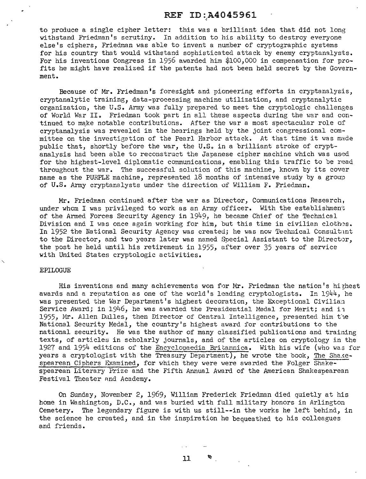# REF ID: A4045961

to produce a single cipher letter: this was a brilliant idea that did not long withstand Friedman's scrutiny. In addition to his ability to destroy everyone else's ciphers, Friedman was able to invent a number of cryptographic systems for his country that would withstand sophisticated attack by enemy cryptanalysts. For his inventions Congress in 1956 awarded him \$100,000 in compensation for profits he might have realized if the patents had not been held secret by the Government.

Because of Mr. Friedman's foresight and pioneering efforts in cryptanalysis, cryptanalytic training, data-processing machine utilization, and cryptanalytic organization, the U.S. Army was fully prepared to meet the cryptologic challenges of World War II. Friedman took part in all these aspects during the war and continued to make notable contributions. After the war a most spectacular role of cryptanalysis was revealed in the hearings held by the joint congressional com· mi ttee on the investie;ation of the Pearl Harbor attack. *At* that time it was made public that, shortly before the war, the U.S. in a brilliant stroke of cryptanalysis had been able to reconstruct the Japanese cipher machine which was used for the highest-level diplomatic communications, enabling this traffic to be read throughout the war. The successful solution of this machine, known by its cover name as the PURPLE machine, represented 18 months of intensive study by a group of U.S. Army cryptanalysts under the direction of William F. Friedman.

Mr. Friedman continued after the war as Director, Communications Research, under whom I was privileged to work as an Army officer. With the establishment of the Armed Forces Security Agency in 1949, he became Chief of the Technical Division and I was once again working for him, but this time in civilian clothes. In 1952 the National Security Agency was created; he was now Technical Consultant to the Director, and two years later was named Special Assistant to the Director, the post he held until his retirement in 1955, after over 35 years of service with United States cryptologic activities.

#### EPILOGUE

His inventions and many achievements won for Mr. Friedman the nation's hishest awards and a reputation as one of the world's leading cryptologists. In 1944, he was presented the War Department's highest decoration, the Exceptional Civilian Service Award; in  $1946$ , he was awarded the Presidential Medal for Merit; and in 1955, Mr. Allen Dulles, then Director of Central Intelligence, presented him t'1e National Security Medal, the country's highest award for contributions to the national security. He was the author of many classified publications and training texts, of articles in scholarly journals, and of the articles on cryptology in the 1927 and 1954 editions of the Encyclopaedia Britannica. With his wife (who was for years a cryptologist with the Treasury Department), he wrote the book, The Shakespearean Cjphers Examined, for which they were were awarded the Folger Shakespearean Literary Prize and the Fifth Annual Award of the American Shakespearean Festival Theater and Academy.

On Sunday, November 2, 1969, William Frederick Friedman died quietly at his home in Washington, D.C., and was buried with full military honors in Arlington Cemetery. The legendary figure is with us still--in the works he left behind, in the science he created, and in the inspiration he bequeathed to his colleagues and friends.

11 11:!-